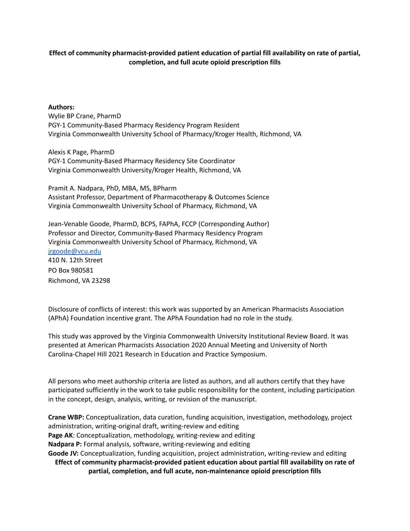#### **Effect of community pharmacist-provided patient education of partial fill availability on rate of partial, completion, and full acute opioid prescription fills**

#### **Authors:**

Wylie BP Crane, PharmD PGY-1 Community-Based Pharmacy Residency Program Resident Virginia Commonwealth University School of Pharmacy/Kroger Health, Richmond, VA

Alexis K Page, PharmD PGY-1 Community-Based Pharmacy Residency Site Coordinator Virginia Commonwealth University/Kroger Health, Richmond, VA

Pramit A. Nadpara, PhD, MBA, MS, BPharm Assistant Professor, Department of Pharmacotherapy & Outcomes Science Virginia Commonwealth University School of Pharmacy, Richmond, VA

Jean-Venable Goode, PharmD, BCPS, FAPhA, FCCP (Corresponding Author) Professor and Director, Community-Based Pharmacy Residency Program Virginia Commonwealth University School of Pharmacy, Richmond, VA [jrgoode@vcu.edu](mailto:jrgoode@vcu.edu) 410 N. 12th Street PO Box 980581 Richmond, VA 23298

Disclosure of conflicts of interest: this work was supported by an American Pharmacists Association (APhA) Foundation incentive grant. The APhA Foundation had no role in the study.

This study was approved by the Virginia Commonwealth University Institutional Review Board. It was presented at American Pharmacists Association 2020 Annual Meeting and University of North Carolina-Chapel Hill 2021 Research in Education and Practice Symposium.

All persons who meet authorship criteria are listed as authors, and all authors certify that they have participated sufficiently in the work to take public responsibility for the content, including participation in the concept, design, analysis, writing, or revision of the manuscript.

**Crane WBP:** Conceptualization, data curation, funding acquisition, investigation, methodology, project administration, writing-original draft, writing-review and editing **Page AK**: Conceptualization, methodology, writing-review and editing **Nadpara P:** Formal analysis, software, writing-reviewing and editing **Goode JV:** Conceptualization, funding acquisition, project administration, writing-review and editing **Effect of community pharmacist-provided patient education about partial fill availability on rate of partial, completion, and full acute, non-maintenance opioid prescription fills**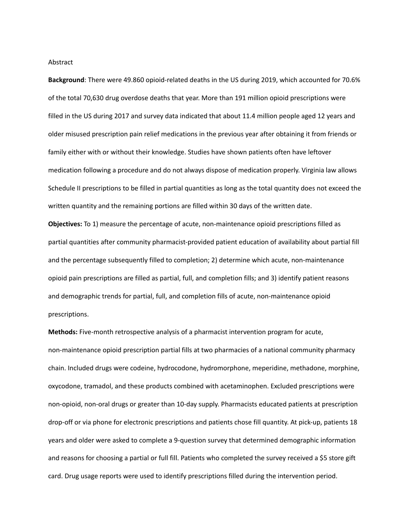Abstract

**Background**: There were 49.860 opioid-related deaths in the US during 2019, which accounted for 70.6% of the total 70,630 drug overdose deaths that year. More than 191 million opioid prescriptions were filled in the US during 2017 and survey data indicated that about 11.4 million people aged 12 years and older misused prescription pain relief medications in the previous year after obtaining it from friends or family either with or without their knowledge. Studies have shown patients often have leftover medication following a procedure and do not always dispose of medication properly. Virginia law allows Schedule II prescriptions to be filled in partial quantities as long as the total quantity does not exceed the written quantity and the remaining portions are filled within 30 days of the written date.

**Objectives:** To 1) measure the percentage of acute, non-maintenance opioid prescriptions filled as partial quantities after community pharmacist-provided patient education of availability about partial fill and the percentage subsequently filled to completion; 2) determine which acute, non-maintenance opioid pain prescriptions are filled as partial, full, and completion fills; and 3) identify patient reasons and demographic trends for partial, full, and completion fills of acute, non-maintenance opioid prescriptions.

**Methods:** Five-month retrospective analysis of a pharmacist intervention program for acute, non-maintenance opioid prescription partial fills at two pharmacies of a national community pharmacy chain. Included drugs were codeine, hydrocodone, hydromorphone, meperidine, methadone, morphine, oxycodone, tramadol, and these products combined with acetaminophen. Excluded prescriptions were non-opioid, non-oral drugs or greater than 10-day supply. Pharmacists educated patients at prescription drop-off or via phone for electronic prescriptions and patients chose fill quantity. At pick-up, patients 18 years and older were asked to complete a 9-question survey that determined demographic information and reasons for choosing a partial or full fill. Patients who completed the survey received a \$5 store gift card. Drug usage reports were used to identify prescriptions filled during the intervention period.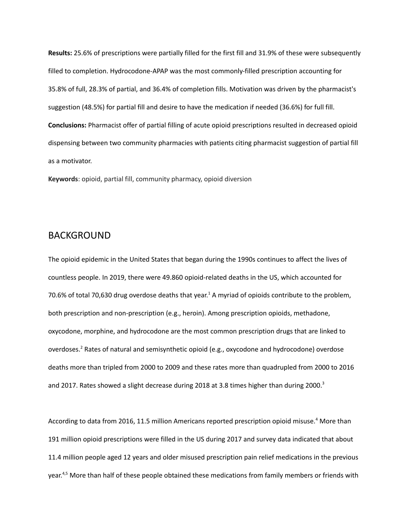**Results:** 25.6% of prescriptions were partially filled for the first fill and 31.9% of these were subsequently filled to completion. Hydrocodone-APAP was the most commonly-filled prescription accounting for 35.8% of full, 28.3% of partial, and 36.4% of completion fills. Motivation was driven by the pharmacist's suggestion (48.5%) for partial fill and desire to have the medication if needed (36.6%) for full fill. **Conclusions:** Pharmacist offer of partial filling of acute opioid prescriptions resulted in decreased opioid dispensing between two community pharmacies with patients citing pharmacist suggestion of partial fill as a motivator.

**Keywords**: opioid, partial fill, community pharmacy, opioid diversion

## BACKGROUND

The opioid epidemic in the United States that began during the 1990s continues to affect the lives of countless people. In 2019, there were 49.860 opioid-related deaths in the US, which accounted for 70.6% of total 70,630 drug overdose deaths that year.<sup>1</sup> A myriad of opioids contribute to the problem, both prescription and non-prescription (e.g., heroin). Among prescription opioids, methadone, oxycodone, morphine, and hydrocodone are the most common prescription drugs that are linked to overdoses. <sup>2</sup> Rates of natural and semisynthetic opioid (e.g., oxycodone and hydrocodone) overdose deaths more than tripled from 2000 to 2009 and these rates more than quadrupled from 2000 to 2016 and 2017. Rates showed a slight decrease during 2018 at 3.8 times higher than during 2000.<sup>3</sup>

According to data from 2016, 11.5 million Americans reported prescription opioid misuse. <sup>4</sup> More than 191 million opioid prescriptions were filled in the US during 2017 and survey data indicated that about 11.4 million people aged 12 years and older misused prescription pain relief medications in the previous year.<sup>4,5</sup> More than half of these people obtained these medications from family members or friends with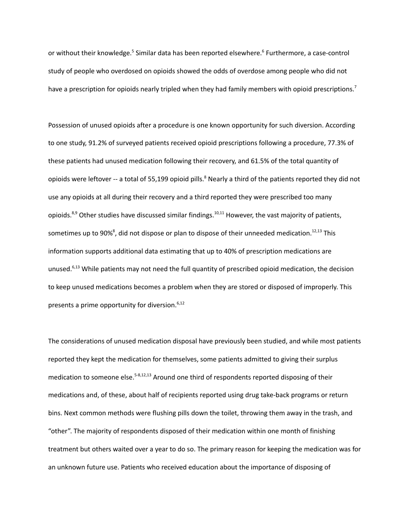or without their knowledge.<sup>5</sup> Similar data has been reported elsewhere.<sup>6</sup> Furthermore, a case-control study of people who overdosed on opioids showed the odds of overdose among people who did not have a prescription for opioids nearly tripled when they had family members with opioid prescriptions.<sup>7</sup>

Possession of unused opioids after a procedure is one known opportunity for such diversion. According to one study, 91.2% of surveyed patients received opioid prescriptions following a procedure, 77.3% of these patients had unused medication following their recovery, and 61.5% of the total quantity of opioids were leftover -- a total of 55,199 opioid pills.<sup>8</sup> Nearly a third of the patients reported they did not use any opioids at all during their recovery and a third reported they were prescribed too many opioids.<sup>8,9</sup> Other studies have discussed similar findings.<sup>10,11</sup> However, the vast majority of patients, sometimes up to 90%<sup>8</sup>, did not dispose or plan to dispose of their unneeded medication.<sup>12,13</sup> This information supports additional data estimating that up to 40% of prescription medications are unused.<sup>6,13</sup> While patients may not need the full quantity of prescribed opioid medication, the decision to keep unused medications becomes a problem when they are stored or disposed of improperly. This presents a prime opportunity for diversion.<sup>6,12</sup>

The considerations of unused medication disposal have previously been studied, and while most patients reported they kept the medication for themselves, some patients admitted to giving their surplus medication to someone else.<sup>5-8,12,13</sup> Around one third of respondents reported disposing of their medications and, of these, about half of recipients reported using drug take-back programs or return bins. Next common methods were flushing pills down the toilet, throwing them away in the trash, and "other". The majority of respondents disposed of their medication within one month of finishing treatment but others waited over a year to do so. The primary reason for keeping the medication was for an unknown future use. Patients who received education about the importance of disposing of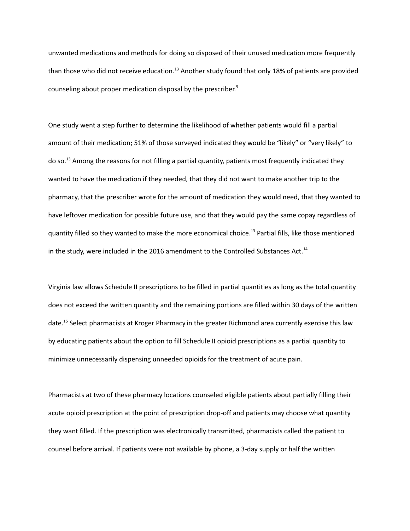unwanted medications and methods for doing so disposed of their unused medication more frequently than those who did not receive education.<sup>13</sup> Another study found that only 18% of patients are provided counseling about proper medication disposal by the prescriber. 9

One study went a step further to determine the likelihood of whether patients would fill a partial amount of their medication; 51% of those surveyed indicated they would be "likely" or "very likely" to do so.<sup>13</sup> Among the reasons for not filling a partial quantity, patients most frequently indicated they wanted to have the medication if they needed, that they did not want to make another trip to the pharmacy, that the prescriber wrote for the amount of medication they would need, that they wanted to have leftover medication for possible future use, and that they would pay the same copay regardless of quantity filled so they wanted to make the more economical choice. <sup>13</sup> Partial fills, like those mentioned in the study, were included in the 2016 amendment to the Controlled Substances Act.<sup>14</sup>

Virginia law allows Schedule II prescriptions to be filled in partial quantities as long as the total quantity does not exceed the written quantity and the remaining portions are filled within 30 days of the written date. <sup>15</sup> Select pharmacists at Kroger Pharmacy in the greater Richmond area currently exercise this law by educating patients about the option to fill Schedule II opioid prescriptions as a partial quantity to minimize unnecessarily dispensing unneeded opioids for the treatment of acute pain.

Pharmacists at two of these pharmacy locations counseled eligible patients about partially filling their acute opioid prescription at the point of prescription drop-off and patients may choose what quantity they want filled. If the prescription was electronically transmitted, pharmacists called the patient to counsel before arrival. If patients were not available by phone, a 3-day supply or half the written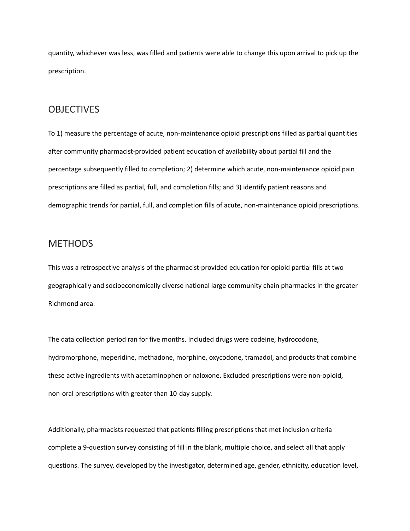quantity, whichever was less, was filled and patients were able to change this upon arrival to pick up the prescription.

## **OBJECTIVES**

To 1) measure the percentage of acute, non-maintenance opioid prescriptions filled as partial quantities after community pharmacist-provided patient education of availability about partial fill and the percentage subsequently filled to completion; 2) determine which acute, non-maintenance opioid pain prescriptions are filled as partial, full, and completion fills; and 3) identify patient reasons and demographic trends for partial, full, and completion fills of acute, non-maintenance opioid prescriptions.

# **METHODS**

This was a retrospective analysis of the pharmacist-provided education for opioid partial fills at two geographically and socioeconomically diverse national large community chain pharmacies in the greater Richmond area.

The data collection period ran for five months. Included drugs were codeine, hydrocodone, hydromorphone, meperidine, methadone, morphine, oxycodone, tramadol, and products that combine these active ingredients with acetaminophen or naloxone. Excluded prescriptions were non-opioid, non-oral prescriptions with greater than 10-day supply.

Additionally, pharmacists requested that patients filling prescriptions that met inclusion criteria complete a 9-question survey consisting of fill in the blank, multiple choice, and select all that apply questions. The survey, developed by the investigator, determined age, gender, ethnicity, education level,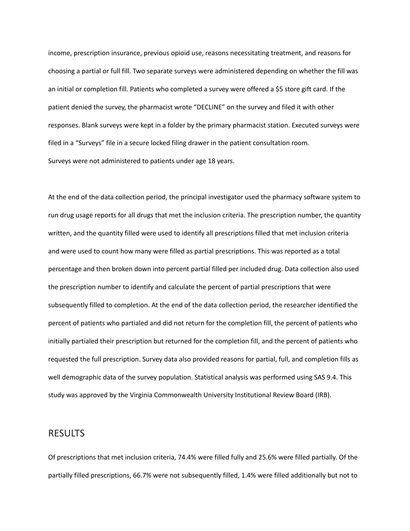income, prescription insurance, previous opioid use, reasons necessitating treatment, and reasons for choosing a partial or full fill. Two separate surveys were administered depending on whether the fill was an initial or completion fill. Patients who completed a survey were offered a \$5 store gift card. If the patient denied the survey, the pharmacist wrote "DECLINE" on the survey and filed it with other responses. Blank surveys were kept in a folder by the primary pharmacist station. Executed surveys were filed in a "Surveys" file in a secure locked filing drawer in the patient consultation room. Surveys were not administered to patients under age 18 years.

At the end of the data collection period, the principal investigator used the pharmacy software system to run drug usage reports for all drugs that met the inclusion criteria. The prescription number, the quantity written, and the quantity filled were used to identify all prescriptions filled that met inclusion criteria and were used to count how many were filled as partial prescriptions. This was reported as a total percentage and then broken down into percent partial filled per included drug. Data collection also used the prescription number to identify and calculate the percent of partial prescriptions that were subsequently filled to completion. At the end of the data collection period, the researcher identified the percent of patients who partialed and did not return for the completion fill, the percent of patients who initially partialed their prescription but returned for the completion fill, and the percent of patients who requested the full prescription. Survey data also provided reasons for partial, full, and completion fills as well demographic data of the survey population. Statistical analysis was performed using SAS 9.4. This study was approved by the Virginia Commonwealth University Institutional Review Board (IRB).

### RESULTS

Of prescriptions that met inclusion criteria, 74.4% were filled fully and 25.6% were filled partially. Of the partially filled prescriptions, 66.7% were not subsequently filled, 1.4% were filled additionally but not to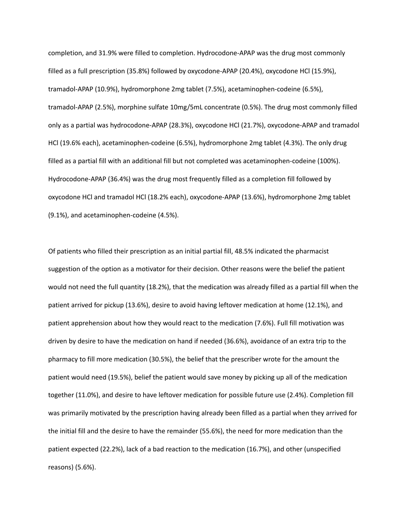completion, and 31.9% were filled to completion. Hydrocodone-APAP was the drug most commonly filled as a full prescription (35.8%) followed by oxycodone-APAP (20.4%), oxycodone HCl (15.9%), tramadol-APAP (10.9%), hydromorphone 2mg tablet (7.5%), acetaminophen-codeine (6.5%), tramadol-APAP (2.5%), morphine sulfate 10mg/5mL concentrate (0.5%). The drug most commonly filled only as a partial was hydrocodone-APAP (28.3%), oxycodone HCl (21.7%), oxycodone-APAP and tramadol HCl (19.6% each), acetaminophen-codeine (6.5%), hydromorphone 2mg tablet (4.3%). The only drug filled as a partial fill with an additional fill but not completed was acetaminophen-codeine (100%). Hydrocodone-APAP (36.4%) was the drug most frequently filled as a completion fill followed by oxycodone HCl and tramadol HCl (18.2% each), oxycodone-APAP (13.6%), hydromorphone 2mg tablet (9.1%), and acetaminophen-codeine (4.5%).

Of patients who filled their prescription as an initial partial fill, 48.5% indicated the pharmacist suggestion of the option as a motivator for their decision. Other reasons were the belief the patient would not need the full quantity (18.2%), that the medication was already filled as a partial fill when the patient arrived for pickup (13.6%), desire to avoid having leftover medication at home (12.1%), and patient apprehension about how they would react to the medication (7.6%). Full fill motivation was driven by desire to have the medication on hand if needed (36.6%), avoidance of an extra trip to the pharmacy to fill more medication (30.5%), the belief that the prescriber wrote for the amount the patient would need (19.5%), belief the patient would save money by picking up all of the medication together (11.0%), and desire to have leftover medication for possible future use (2.4%). Completion fill was primarily motivated by the prescription having already been filled as a partial when they arrived for the initial fill and the desire to have the remainder (55.6%), the need for more medication than the patient expected (22.2%), lack of a bad reaction to the medication (16.7%), and other (unspecified reasons) (5.6%).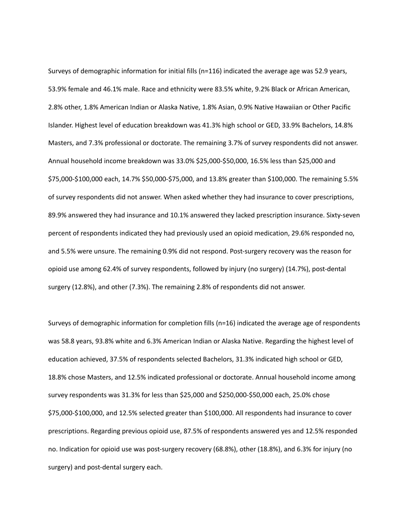Surveys of demographic information for initial fills (n=116) indicated the average age was 52.9 years, 53.9% female and 46.1% male. Race and ethnicity were 83.5% white, 9.2% Black or African American, 2.8% other, 1.8% American Indian or Alaska Native, 1.8% Asian, 0.9% Native Hawaiian or Other Pacific Islander. Highest level of education breakdown was 41.3% high school or GED, 33.9% Bachelors, 14.8% Masters, and 7.3% professional or doctorate. The remaining 3.7% of survey respondents did not answer. Annual household income breakdown was 33.0% \$25,000-\$50,000, 16.5% less than \$25,000 and \$75,000-\$100,000 each, 14.7% \$50,000-\$75,000, and 13.8% greater than \$100,000. The remaining 5.5% of survey respondents did not answer. When asked whether they had insurance to cover prescriptions, 89.9% answered they had insurance and 10.1% answered they lacked prescription insurance. Sixty-seven percent of respondents indicated they had previously used an opioid medication, 29.6% responded no, and 5.5% were unsure. The remaining 0.9% did not respond. Post-surgery recovery was the reason for opioid use among 62.4% of survey respondents, followed by injury (no surgery) (14.7%), post-dental surgery (12.8%), and other (7.3%). The remaining 2.8% of respondents did not answer.

Surveys of demographic information for completion fills (n=16) indicated the average age of respondents was 58.8 years, 93.8% white and 6.3% American Indian or Alaska Native. Regarding the highest level of education achieved, 37.5% of respondents selected Bachelors, 31.3% indicated high school or GED, 18.8% chose Masters, and 12.5% indicated professional or doctorate. Annual household income among survey respondents was 31.3% for less than \$25,000 and \$250,000-\$50,000 each, 25.0% chose \$75,000-\$100,000, and 12.5% selected greater than \$100,000. All respondents had insurance to cover prescriptions. Regarding previous opioid use, 87.5% of respondents answered yes and 12.5% responded no. Indication for opioid use was post-surgery recovery (68.8%), other (18.8%), and 6.3% for injury (no surgery) and post-dental surgery each.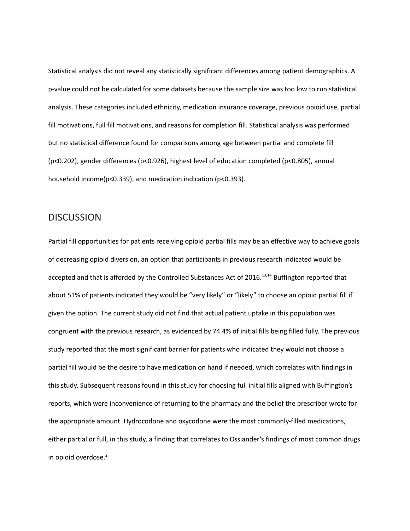Statistical analysis did not reveal any statistically significant differences among patient demographics. A p-value could not be calculated for some datasets because the sample size was too low to run statistical analysis. These categories included ethnicity, medication insurance coverage, previous opioid use, partial fill motivations, full fill motivations, and reasons for completion fill. Statistical analysis was performed but no statistical difference found for comparisons among age between partial and complete fill (p<0.202), gender differences (p<0.926), highest level of education completed (p<0.805), annual household income(p<0.339), and medication indication (p<0.393).

### **DISCUSSION**

Partial fill opportunities for patients receiving opioid partial fills may be an effective way to achieve goals of decreasing opioid diversion, an option that participants in previous research indicated would be accepted and that is afforded by the Controlled Substances Act of 2016.<sup>13,14</sup> Buffington reported that about 51% of patients indicated they would be "very likely" or "likely" to choose an opioid partial fill if given the option. The current study did not find that actual patient uptake in this population was congruent with the previous research, as evidenced by 74.4% of initial fills being filled fully. The previous study reported that the most significant barrier for patients who indicated they would not choose a partial fill would be the desire to have medication on hand if needed, which correlates with findings in this study. Subsequent reasons found in this study for choosing full initial fills aligned with Buffington's reports, which were inconvenience of returning to the pharmacy and the belief the prescriber wrote for the appropriate amount. Hydrocodone and oxycodone were the most commonly-filled medications, either partial or full, in this study, a finding that correlates to Ossiander's findings of most common drugs in opioid overdose. 2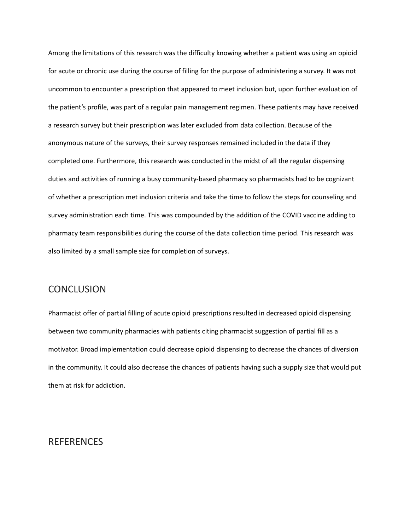Among the limitations of this research was the difficulty knowing whether a patient was using an opioid for acute or chronic use during the course of filling for the purpose of administering a survey. It was not uncommon to encounter a prescription that appeared to meet inclusion but, upon further evaluation of the patient's profile, was part of a regular pain management regimen. These patients may have received a research survey but their prescription was later excluded from data collection. Because of the anonymous nature of the surveys, their survey responses remained included in the data if they completed one. Furthermore, this research was conducted in the midst of all the regular dispensing duties and activities of running a busy community-based pharmacy so pharmacists had to be cognizant of whether a prescription met inclusion criteria and take the time to follow the steps for counseling and survey administration each time. This was compounded by the addition of the COVID vaccine adding to pharmacy team responsibilities during the course of the data collection time period. This research was also limited by a small sample size for completion of surveys.

### **CONCLUSION**

Pharmacist offer of partial filling of acute opioid prescriptions resulted in decreased opioid dispensing between two community pharmacies with patients citing pharmacist suggestion of partial fill as a motivator. Broad implementation could decrease opioid dispensing to decrease the chances of diversion in the community. It could also decrease the chances of patients having such a supply size that would put them at risk for addiction.

# REFERENCES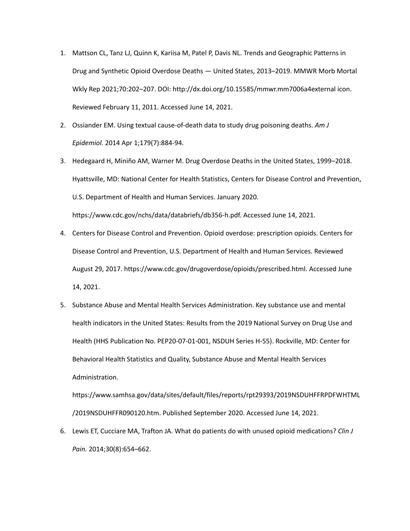- 1. Mattson CL, Tanz LJ, Quinn K, Kariisa M, Patel P, Davis NL. Trends and Geographic Patterns in Drug and Synthetic Opioid Overdose Deaths — United States, 2013–2019. MMWR Morb Mortal Wkly Rep 2021;70:202–207. DOI: http://dx.doi.org/10.15585/mmwr.mm7006a4external icon. Reviewed February 11, 2011. Accessed June 14, 2021.
- 2. Ossiander EM. Using textual cause-of-death data to study drug poisoning deaths. *Am J Epidemiol.* 2014 Apr 1;179(7):884-94.
- 3. Hedegaard H, Miniño AM, Warner M. Drug Overdose Deaths in the United States, 1999–2018. Hyattsville, MD: National Center for Health Statistics, Centers for Disease Control and Prevention, U.S. Department of Health and Human Services. January 2020. https://www.cdc.gov/nchs/data/databriefs/db356-h.pdf. Accessed June 14, 2021.
- 4. Centers for Disease Control and Prevention. Opioid overdose: prescription opioids. Centers for Disease Control and Prevention, U.S. Department of Health and Human Services. Reviewed August 29, 2017. https://www.cdc.gov/drugoverdose/opioids/prescribed.html. Accessed June 14, 2021.
- 5. Substance Abuse and Mental Health Services Administration. Key substance use and mental health indicators in the United States: Results from the 2019 National Survey on Drug Use and Health (HHS Publication No. PEP20-07-01-001, NSDUH Series H-55). Rockville, MD: Center for Behavioral Health Statistics and Quality, Substance Abuse and Mental Health Services Administration.

https://www.samhsa.gov/data/sites/default/files/reports/rpt29393/2019NSDUHFFRPDFWHTML /2019NSDUHFFR090120.htm. Published September 2020. Accessed June 14, 2021.

6. Lewis ET, Cucciare MA, Trafton JA. What do patients do with unused opioid medications? *Clin J Pain.* 2014;30(8):654–662.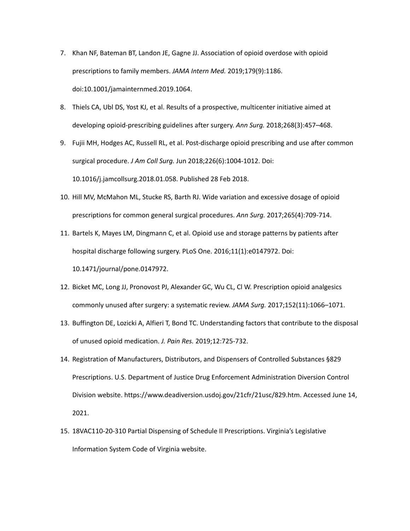- 7. Khan NF, Bateman BT, Landon JE, Gagne JJ. Association of opioid overdose with opioid prescriptions to family members. *JAMA Intern Med.* 2019;179(9):1186. doi:10.1001/jamainternmed.2019.1064.
- 8. Thiels CA, Ubl DS, Yost KJ, et al. Results of a prospective, multicenter initiative aimed at developing opioid-prescribing guidelines after surgery. *Ann Surg.* 2018;268(3):457–468.
- 9. Fujii MH, Hodges AC, Russell RL, et al. Post-discharge opioid prescribing and use after common surgical procedure. *J Am Coll Surg.* Jun 2018;226(6):1004-1012. Doi: 10.1016/j.jamcollsurg.2018.01.058. Published 28 Feb 2018.
- 10. Hill MV, McMahon ML, Stucke RS, Barth RJ. Wide variation and excessive dosage of opioid prescriptions for common general surgical procedures. *Ann Surg.* 2017;265(4):709-714.
- 11. Bartels K, Mayes LM, Dingmann C, et al. Opioid use and storage patterns by patients after hospital discharge following surgery. PLoS One. 2016;11(1):e0147972. Doi: 10.1471/journal/pone.0147972.
- 12. Bicket MC, Long JJ, Pronovost PJ, Alexander GC, Wu CL, Cl W. Prescription opioid analgesics commonly unused after surgery: a systematic review. *JAMA Surg.* 2017;152(11):1066–1071.
- 13. Buffington DE, Lozicki A, Alfieri T, Bond TC. Understanding factors that contribute to the disposal of unused opioid medication. *J. Pain Res.* 2019;12:725-732.
- 14. Registration of Manufacturers, Distributors, and Dispensers of Controlled Substances §829 Prescriptions. U.S. Department of Justice Drug Enforcement Administration Diversion Control Division website. https://www.deadiversion.usdoj.gov/21cfr/21usc/829.htm. Accessed June 14, 2021.
- 15. 18VAC110-20-310 Partial Dispensing of Schedule II Prescriptions. Virginia's Legislative Information System Code of Virginia website.